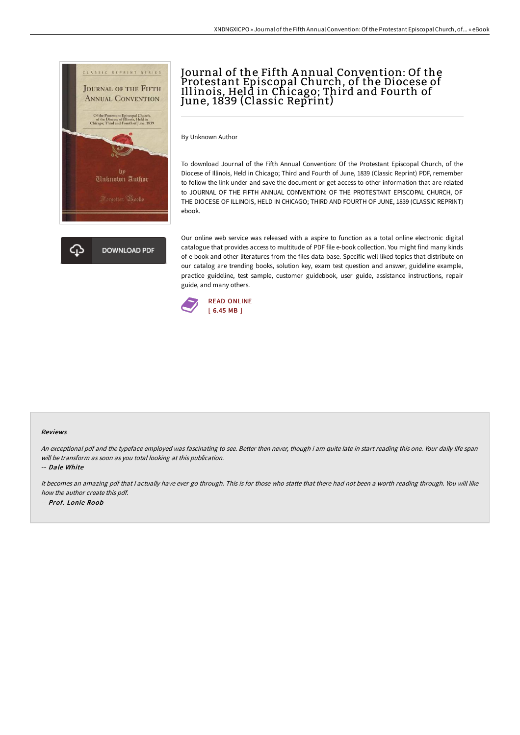

# Journal of the Fifth A nnual Convention: Of the Protestant Episcopal Church, of the Diocese of Illinois, Held in Chicago; Third and Fourth of June, 1839 (Classic Reprint)

By Unknown Author

To download Journal of the Fifth Annual Convention: Of the Protestant Episcopal Church, of the Diocese of Illinois, Held in Chicago; Third and Fourth of June, 1839 (Classic Reprint) PDF, remember to follow the link under and save the document or get access to other information that are related to JOURNAL OF THE FIFTH ANNUAL CONVENTION: OF THE PROTESTANT EPISCOPAL CHURCH, OF THE DIOCESE OF ILLINOIS, HELD IN CHICAGO; THIRD AND FOURTH OF JUNE, 1839 (CLASSIC REPRINT) ebook.

Our online web service was released with a aspire to function as a total online electronic digital catalogue that provides access to multitude of PDF file e-book collection. You might find many kinds of e-book and other literatures from the files data base. Specific well-liked topics that distribute on our catalog are trending books, solution key, exam test question and answer, guideline example, practice guideline, test sample, customer guidebook, user guide, assistance instructions, repair guide, and many others.



#### Reviews

An exceptional pdf and the typeface employed was fascinating to see. Better then never, though i am quite late in start reading this one. Your daily life span will be transform as soon as you total looking at this publication.

-- Dale White

It becomes an amazing pdf that <sup>I</sup> actually have ever go through. This is for those who statte that there had not been <sup>a</sup> worth reading through. You will like how the author create this pdf. -- Prof. Lonie Roob